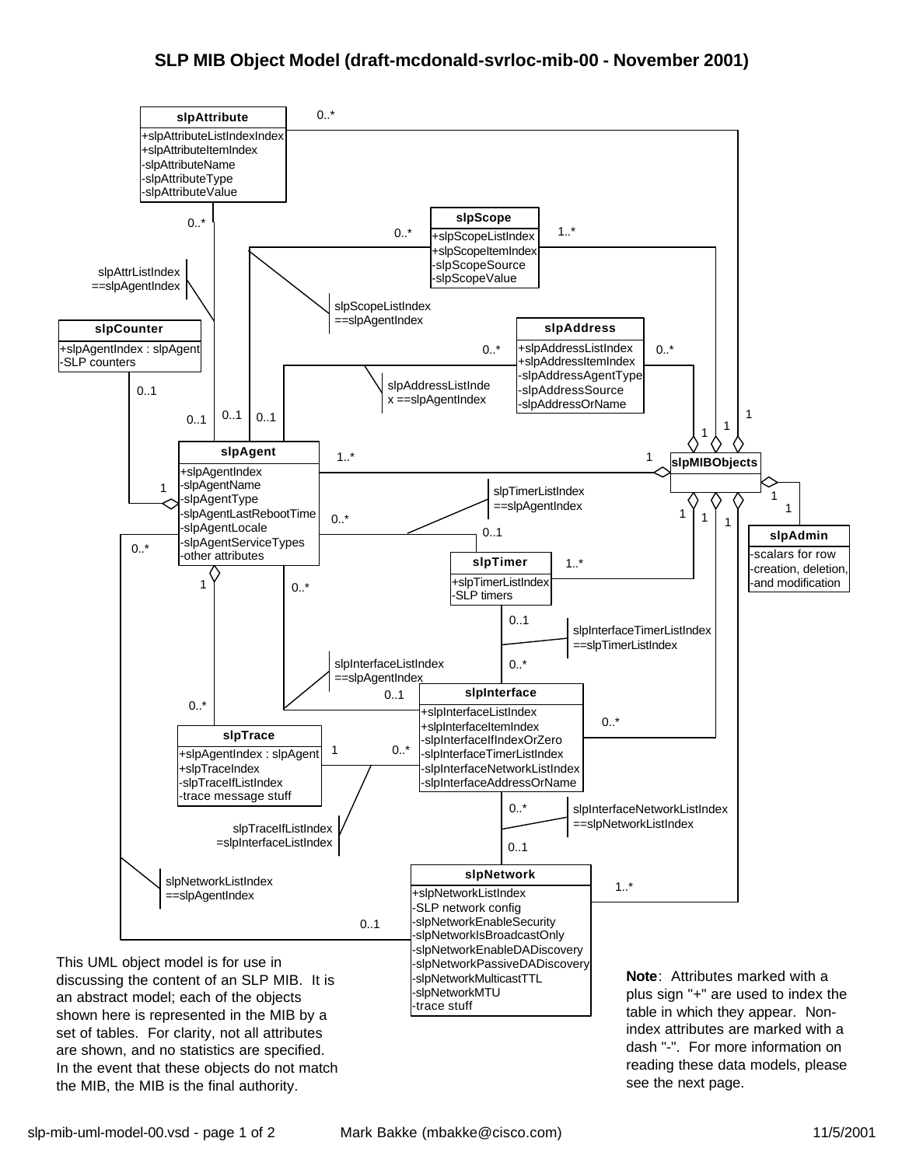

the MIB, the MIB is the final authority.

see the next page.